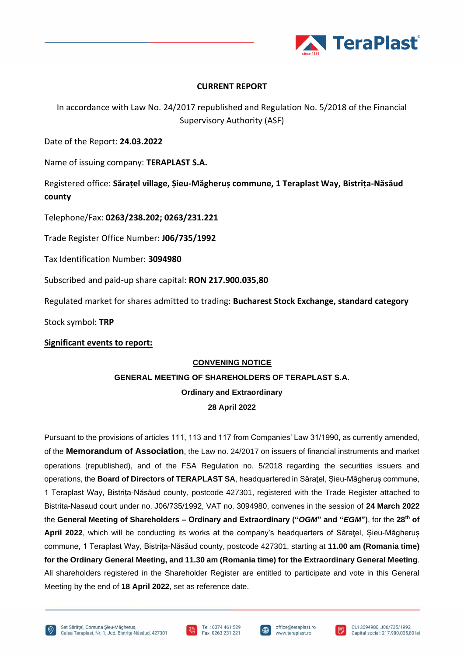

## **CURRENT REPORT**

In accordance with Law No. 24/2017 republished and Regulation No. 5/2018 of the Financial Supervisory Authority (ASF)

Date of the Report: **24.03.2022**

Name of issuing company: **TERAPLAST S.A.**

Registered office: **Sărațel village, Șieu-Măgheruș commune, 1 Teraplast Way, Bistrița-Năsăud county**

Telephone/Fax: **0263/238.202; 0263/231.221**

Trade Register Office Number: **J06/735/1992**

Tax Identification Number: **3094980**

Subscribed and paid-up share capital: **RON 217.900.035,80** 

Regulated market for shares admitted to trading: **Bucharest Stock Exchange, standard category**

Stock symbol: **TRP**

### **Significant events to report:**

#### **CONVENING NOTICE**

# **GENERAL MEETING OF SHAREHOLDERS OF TERAPLAST S.A. Ordinary and Extraordinary 28 April 2022**

Pursuant to the provisions of articles 111, 113 and 117 from Companies' Law 31/1990, as currently amended, of the **Memorandum of Association**, the Law no. 24/2017 on issuers of financial instruments and market operations (republished), and of the FSA Regulation no. 5/2018 regarding the securities issuers and operations, the **Board of Directors of TERAPLAST SA**, headquartered in Săraţel, Șieu-Măgheruș commune, 1 Teraplast Way, Bistrița-Năsăud county, postcode 427301, registered with the Trade Register attached to Bistrita-Nasaud court under no. J06/735/1992, VAT no. 3094980, convenes in the session of **24 March 2022** the **General Meeting of Shareholders – Ordinary and Extraordinary ("***OGM***" and "***EGM***")**, for the **28th of April 2022**, which will be conducting its works at the company's headquarters of Săratel, Sieu-Măgherus commune, 1 Teraplast Way, Bistrița-Năsăud county, postcode 427301, starting at **11.00 am (Romania time) for the Ordinary General Meeting, and 11.30 am (Romania time) for the Extraordinary General Meeting**. All shareholders registered in the Shareholder Register are entitled to participate and vote in this General Meeting by the end of **18 April 2022**, set as reference date.







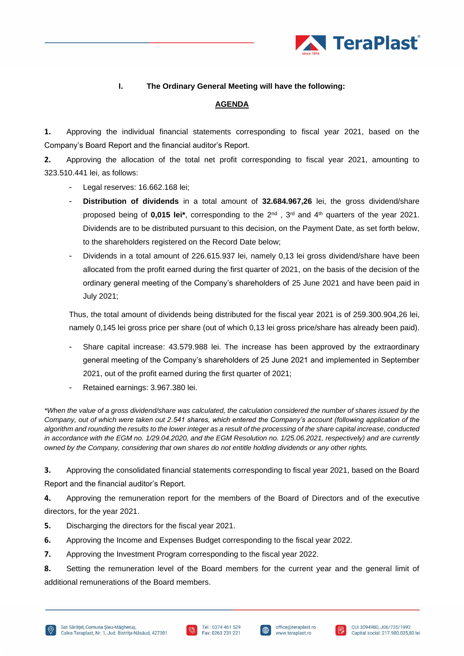

#### **I. The Ordinary General Meeting will have the following:**

#### **AGENDA**

**1.** Approving the individual financial statements corresponding to fiscal year 2021, based on the Company's Board Report and the financial auditor's Report.

**2.** Approving the allocation of the total net profit corresponding to fiscal year 2021, amounting to 323.510.441 lei, as follows:

- Legal reserves: 16.662.168 lei:
- **Distribution of dividends** in a total amount of **32.684.967,26** lei, the gross dividend/share proposed being of 0,015 lei<sup>\*</sup>, corresponding to the 2<sup>nd</sup>, 3<sup>rd</sup> and 4<sup>th</sup> quarters of the year 2021. Dividends are to be distributed pursuant to this decision, on the Payment Date, as set forth below, to the shareholders registered on the Record Date below;
- Dividends in a total amount of 226.615.937 lei, namely 0,13 lei gross dividend/share have been allocated from the profit earned during the first quarter of 2021, on the basis of the decision of the ordinary general meeting of the Company's shareholders of 25 June 2021 and have been paid in July 2021;

Thus, the total amount of dividends being distributed for the fiscal year 2021 is of 259.300.904,26 lei, namely 0,145 lei gross price per share (out of which 0,13 lei gross price/share has already been paid).

- Share capital increase: 43.579.988 lei. The increase has been approved by the extraordinary general meeting of the Company's shareholders of 25 June 2021 and implemented in September 2021, out of the profit earned during the first quarter of 2021;
- Retained earnings: 3.967.380 lei.

*\*When the value of a gross dividend/share was calculated, the calculation considered the number of shares issued by the Company, out of which were taken out 2.541 shares, which entered the Company's account (following application of the algorithm and rounding the results to the lower integer as a result of the processing of the share capital increase, conducted in accordance with the EGM no. 1/29.04.2020, and the EGM Resolution no. 1/25.06.2021, respectively) and are currently owned by the Company, considering that own shares do not entitle holding dividends or any other rights.*

**3.** Approving the consolidated financial statements corresponding to fiscal year 2021, based on the Board Report and the financial auditor's Report.

**4.** Approving the remuneration report for the members of the Board of Directors and of the executive directors, for the year 2021.

- **5.** Discharging the directors for the fiscal year 2021.
- **6.** Approving the Income and Expenses Budget corresponding to the fiscal year 2022.
- **7.** Approving the Investment Program corresponding to the fiscal year 2022.

**8.** Setting the remuneration level of the Board members for the current year and the general limit of additional remunerations of the Board members.





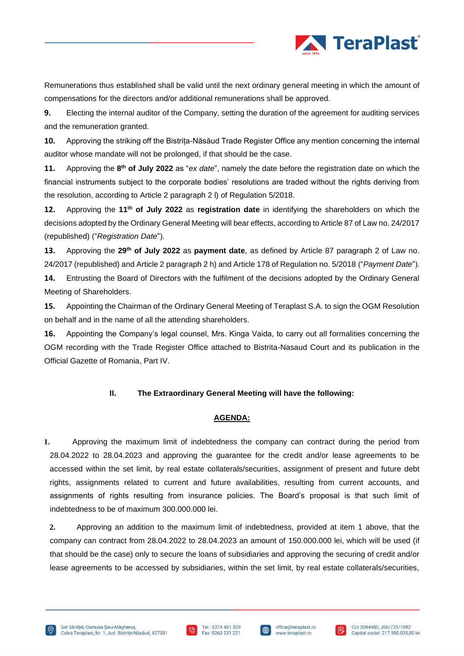

Remunerations thus established shall be valid until the next ordinary general meeting in which the amount of compensations for the directors and/or additional remunerations shall be approved.

**9.** Electing the internal auditor of the Company, setting the duration of the agreement for auditing services and the remuneration granted.

**10.** Approving the striking off the Bistrița-Năsăud Trade Register Office any mention concerning the internal auditor whose mandate will not be prolonged, if that should be the case.

**11.** Approving the **8 th of July 2022** as "*ex date*", namely the date before the registration date on which the financial instruments subject to the corporate bodies' resolutions are traded without the rights deriving from the resolution, according to Article 2 paragraph 2 l) of Regulation 5/2018.

**12.** Approving the **11th of July 2022** as **registration date** in identifying the shareholders on which the decisions adopted by the Ordinary General Meeting will bear effects, according to Article 87 of Law no. 24/2017 (republished) ("*Registration Date*").

**13.** Approving the **29th of July 2022** as **payment date**, as defined by Article 87 paragraph 2 of Law no. 24/2017 (republished) and Article 2 paragraph 2 h) and Article 178 of Regulation no. 5/2018 ("*Payment Date*").

**14.** Entrusting the Board of Directors with the fulfilment of the decisions adopted by the Ordinary General Meeting of Shareholders.

**15.** Appointing the Chairman of the Ordinary General Meeting of Teraplast S.A. to sign the OGM Resolution on behalf and in the name of all the attending shareholders.

**16.** Appointing the Company's legal counsel, Mrs. Kinga Vaida, to carry out all formalities concerning the OGM recording with the Trade Register Office attached to Bistrita-Nasaud Court and its publication in the Official Gazette of Romania, Part IV.

# **II. The Extraordinary General Meeting will have the following:**

### **AGENDA:**

**1.** Approving the maximum limit of indebtedness the company can contract during the period from 28.04.2022 to 28.04.2023 and approving the guarantee for the credit and/or lease agreements to be accessed within the set limit, by real estate collaterals/securities, assignment of present and future debt rights, assignments related to current and future availabilities, resulting from current accounts, and assignments of rights resulting from insurance policies. The Board's proposal is that such limit of indebtedness to be of maximum 300.000.000 lei.

**2.** Approving an addition to the maximum limit of indebtedness, provided at item 1 above, that the company can contract from 28.04.2022 to 28.04.2023 an amount of 150.000.000 lei, which will be used (if that should be the case) only to secure the loans of subsidiaries and approving the securing of credit and/or lease agreements to be accessed by subsidiaries, within the set limit, by real estate collaterals/securities,





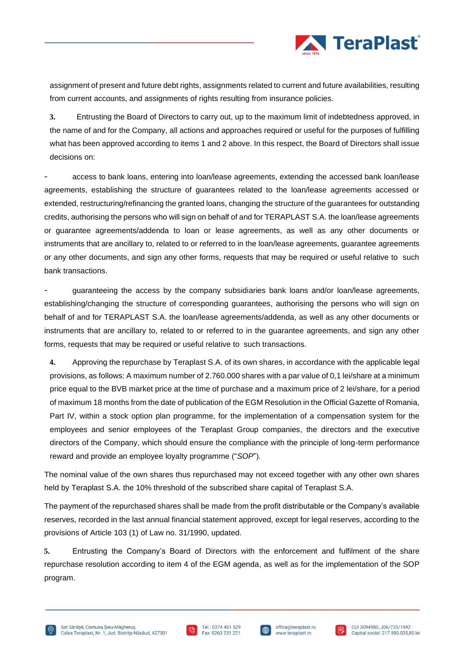

assignment of present and future debt rights, assignments related to current and future availabilities, resulting from current accounts, and assignments of rights resulting from insurance policies.

**3.** Entrusting the Board of Directors to carry out, up to the maximum limit of indebtedness approved, in the name of and for the Company, all actions and approaches required or useful for the purposes of fulfilling what has been approved according to items 1 and 2 above. In this respect, the Board of Directors shall issue decisions on:

- access to bank loans, entering into loan/lease agreements, extending the accessed bank loan/lease agreements, establishing the structure of guarantees related to the loan/lease agreements accessed or extended, restructuring/refinancing the granted loans, changing the structure of the guarantees for outstanding credits, authorising the persons who will sign on behalf of and for TERAPLAST S.A. the loan/lease agreements or guarantee agreements/addenda to loan or lease agreements, as well as any other documents or instruments that are ancillary to, related to or referred to in the loan/lease agreements, guarantee agreements or any other documents, and sign any other forms, requests that may be required or useful relative to such bank transactions.

- guaranteeing the access by the company subsidiaries bank loans and/or loan/lease agreements, establishing/changing the structure of corresponding guarantees, authorising the persons who will sign on behalf of and for TERAPLAST S.A. the loan/lease agreements/addenda, as well as any other documents or instruments that are ancillary to, related to or referred to in the guarantee agreements, and sign any other forms, requests that may be required or useful relative to such transactions.

**4.** Approving the repurchase by Teraplast S.A. of its own shares, in accordance with the applicable legal provisions, as follows: A maximum number of 2.760.000 shares with a par value of 0,1 lei/share at a minimum price equal to the BVB market price at the time of purchase and a maximum price of 2 lei/share, for a period of maximum 18 months from the date of publication of the EGM Resolution in the Official Gazette of Romania, Part IV, within a stock option plan programme, for the implementation of a compensation system for the employees and senior employees of the Teraplast Group companies, the directors and the executive directors of the Company, which should ensure the compliance with the principle of long-term performance reward and provide an employee loyalty programme ("*SOP*").

The nominal value of the own shares thus repurchased may not exceed together with any other own shares held by Teraplast S.A. the 10% threshold of the subscribed share capital of Teraplast S.A.

The payment of the repurchased shares shall be made from the profit distributable or the Company's available reserves, recorded in the last annual financial statement approved, except for legal reserves, according to the provisions of Article 103 (1) of Law no. 31/1990, updated.

**5.** Entrusting the Company's Board of Directors with the enforcement and fulfilment of the share repurchase resolution according to item 4 of the EGM agenda, as well as for the implementation of the SOP program.





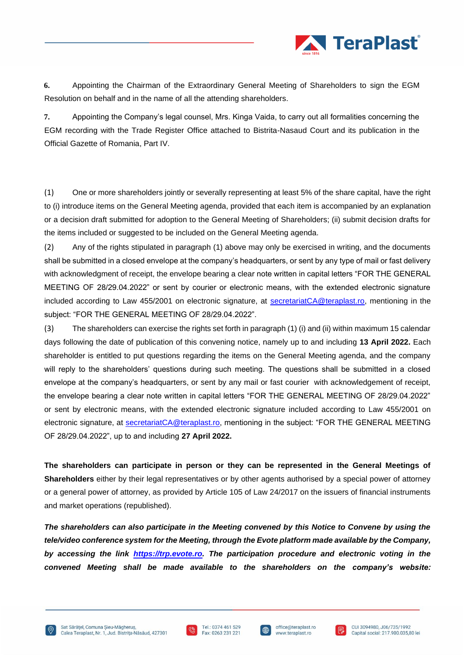

**6.** Appointing the Chairman of the Extraordinary General Meeting of Shareholders to sign the EGM Resolution on behalf and in the name of all the attending shareholders.

**7.** Appointing the Company's legal counsel, Mrs. Kinga Vaida, to carry out all formalities concerning the EGM recording with the Trade Register Office attached to Bistrita-Nasaud Court and its publication in the Official Gazette of Romania, Part IV.

(1) One or more shareholders jointly or severally representing at least 5% of the share capital, have the right to (i) introduce items on the General Meeting agenda, provided that each item is accompanied by an explanation or a decision draft submitted for adoption to the General Meeting of Shareholders; (ii) submit decision drafts for the items included or suggested to be included on the General Meeting agenda.

(2) Any of the rights stipulated in paragraph (1) above may only be exercised in writing, and the documents shall be submitted in a closed envelope at the company's headquarters, or sent by any type of mail or fast delivery with acknowledgment of receipt, the envelope bearing a clear note written in capital letters "FOR THE GENERAL MEETING OF 28/29.04.2022" or sent by courier or electronic means, with the extended electronic signature included according to Law 455/2001 on electronic signature, at [secretariatCA@teraplast.ro,](mailto:secretariatCA@teraplast.ro) mentioning in the subject: "FOR THE GENERAL MEETING OF 28/29.04.2022".

(3) The shareholders can exercise the rights set forth in paragraph (1) (i) and (ii) within maximum 15 calendar days following the date of publication of this convening notice, namely up to and including **13 April 2022.** Each shareholder is entitled to put questions regarding the items on the General Meeting agenda, and the company will reply to the shareholders' questions during such meeting. The questions shall be submitted in a closed envelope at the company's headquarters, or sent by any mail or fast courier with acknowledgement of receipt, the envelope bearing a clear note written in capital letters "FOR THE GENERAL MEETING OF 28/29.04.2022" or sent by electronic means, with the extended electronic signature included according to Law 455/2001 on electronic signature, at [secretariatCA@teraplast.ro,](mailto:secretariatCA@teraplast.ro) mentioning in the subject: "FOR THE GENERAL MEETING OF 28/29.04.2022", up to and including **27 April 2022.**

**The shareholders can participate in person or they can be represented in the General Meetings of Shareholders** either by their legal representatives or by other agents authorised by a special power of attorney or a general power of attorney, as provided by Article 105 of Law 24/2017 on the issuers of financial instruments and market operations (republished).

*The shareholders can also participate in the Meeting convened by this Notice to Convene by using the tele/video conference system for the Meeting, through the Evote platform made available by the Company, by accessing the link [https://trp.evote.ro.](https://trp.evote.ro/) The participation procedure and electronic voting in the convened Meeting shall be made available to the shareholders on the company's website:* 







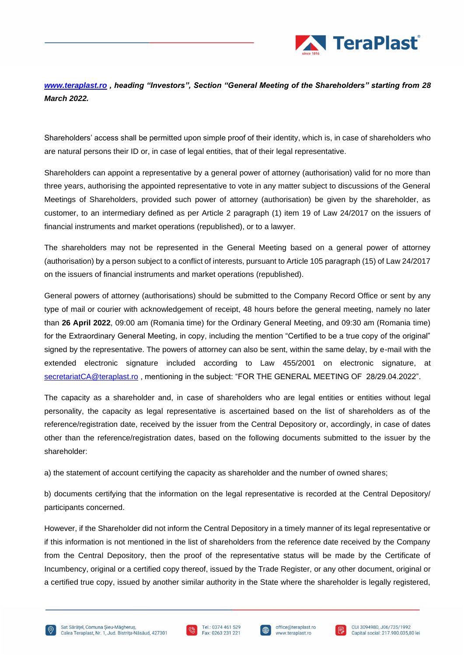

*[www.teraplast.ro](http://www.teraplast.ro/) , heading "Investors", Section "General Meeting of the Shareholders" starting from 28 March 2022.*

Shareholders' access shall be permitted upon simple proof of their identity, which is, in case of shareholders who are natural persons their ID or, in case of legal entities, that of their legal representative.

Shareholders can appoint a representative by a general power of attorney (authorisation) valid for no more than three years, authorising the appointed representative to vote in any matter subject to discussions of the General Meetings of Shareholders, provided such power of attorney (authorisation) be given by the shareholder, as customer, to an intermediary defined as per Article 2 paragraph (1) item 19 of Law 24/2017 on the issuers of financial instruments and market operations (republished), or to a lawyer.

The shareholders may not be represented in the General Meeting based on a general power of attorney (authorisation) by a person subject to a conflict of interests, pursuant to Article 105 paragraph (15) of Law 24/2017 on the issuers of financial instruments and market operations (republished).

General powers of attorney (authorisations) should be submitted to the Company Record Office or sent by any type of mail or courier with acknowledgement of receipt, 48 hours before the general meeting, namely no later than **26 April 2022**, 09:00 am (Romania time) for the Ordinary General Meeting, and 09:30 am (Romania time) for the Extraordinary General Meeting, in copy, including the mention "Certified to be a true copy of the original" signed by the representative. The powers of attorney can also be sent, within the same delay, by e-mail with the extended electronic signature included according to Law 455/2001 on electronic signature, at [secretariatCA@teraplast.ro](mailto:secretariatCA@teraplast.ro), mentioning in the subject: "FOR THE GENERAL MEETING OF 28/29.04.2022".

The capacity as a shareholder and, in case of shareholders who are legal entities or entities without legal personality, the capacity as legal representative is ascertained based on the list of shareholders as of the reference/registration date, received by the issuer from the Central Depository or, accordingly, in case of dates other than the reference/registration dates, based on the following documents submitted to the issuer by the shareholder:

a) the statement of account certifying the capacity as shareholder and the number of owned shares;

b) documents certifying that the information on the legal representative is recorded at the Central Depository/ participants concerned.

However, if the Shareholder did not inform the Central Depository in a timely manner of its legal representative or if this information is not mentioned in the list of shareholders from the reference date received by the Company from the Central Depository, then the proof of the representative status will be made by the Certificate of Incumbency, original or a certified copy thereof, issued by the Trade Register, or any other document, original or a certified true copy, issued by another similar authority in the State where the shareholder is legally registered,





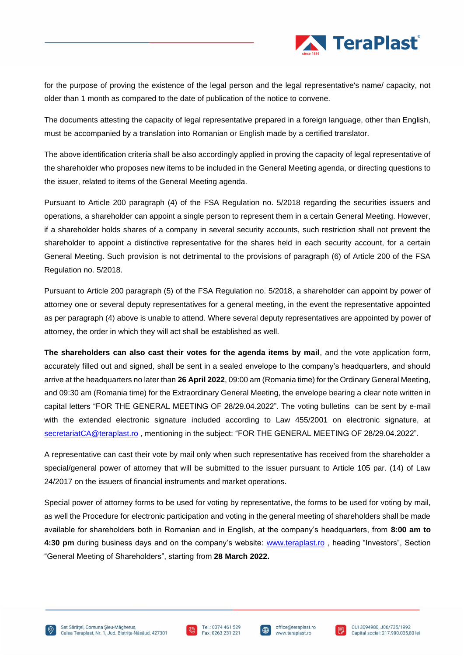

for the purpose of proving the existence of the legal person and the legal representative's name/ capacity, not older than 1 month as compared to the date of publication of the notice to convene.

The documents attesting the capacity of legal representative prepared in a foreign language, other than English, must be accompanied by a translation into Romanian or English made by a certified translator.

The above identification criteria shall be also accordingly applied in proving the capacity of legal representative of the shareholder who proposes new items to be included in the General Meeting agenda, or directing questions to the issuer, related to items of the General Meeting agenda.

Pursuant to Article 200 paragraph (4) of the FSA Regulation no. 5/2018 regarding the securities issuers and operations, a shareholder can appoint a single person to represent them in a certain General Meeting. However, if a shareholder holds shares of a company in several security accounts, such restriction shall not prevent the shareholder to appoint a distinctive representative for the shares held in each security account, for a certain General Meeting. Such provision is not detrimental to the provisions of paragraph (6) of Article 200 of the FSA Regulation no. 5/2018.

Pursuant to Article 200 paragraph (5) of the FSA Regulation no. 5/2018, a shareholder can appoint by power of attorney one or several deputy representatives for a general meeting, in the event the representative appointed as per paragraph (4) above is unable to attend. Where several deputy representatives are appointed by power of attorney, the order in which they will act shall be established as well.

**The shareholders can also cast their votes for the agenda items by mail**, and the vote application form, accurately filled out and signed, shall be sent in a sealed envelope to the company's headquarters, and should arrive at the headquarters no later than **26 April 2022**, 09:00 am (Romania time) for the Ordinary General Meeting, and 09:30 am (Romania time) for the Extraordinary General Meeting, the envelope bearing a clear note written in capital letters "FOR THE GENERAL MEETING OF 28/29.04.2022". The voting bulletins can be sent by e-mail with the extended electronic signature included according to Law 455/2001 on electronic signature, at [secretariatCA@teraplast.ro](mailto:secretariatCA@teraplast.ro) , mentioning in the subject: "FOR THE GENERAL MEETING OF 28/29.04.2022".

A representative can cast their vote by mail only when such representative has received from the shareholder a special/general power of attorney that will be submitted to the issuer pursuant to Article 105 par. (14) of Law 24/2017 on the issuers of financial instruments and market operations.

Special power of attorney forms to be used for voting by representative, the forms to be used for voting by mail, as well the Procedure for electronic participation and voting in the general meeting of shareholders shall be made available for shareholders both in Romanian and in English, at the company's headquarters, from **8:00 am to 4:30 pm** during business days and on the company's website: [www.teraplast.ro](http://www.teraplast.ro/) , heading "Investors", Section "General Meeting of Shareholders", starting from **28 March 2022.**





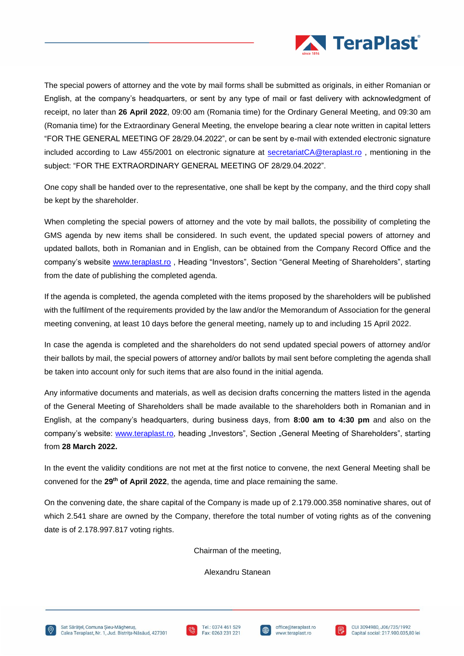

The special powers of attorney and the vote by mail forms shall be submitted as originals, in either Romanian or English, at the company's headquarters, or sent by any type of mail or fast delivery with acknowledgment of receipt, no later than **26 April 2022**, 09:00 am (Romania time) for the Ordinary General Meeting, and 09:30 am (Romania time) for the Extraordinary General Meeting, the envelope bearing a clear note written in capital letters "FOR THE GENERAL MEETING OF 28/29.04.2022", or can be sent by e-mail with extended electronic signature included according to Law 455/2001 on electronic signature at [secretariatCA@teraplast.ro](mailto:secretariatCA@teraplast.ro) , mentioning in the subject: "FOR THE EXTRAORDINARY GENERAL MEETING OF 28/29.04.2022".

One copy shall be handed over to the representative, one shall be kept by the company, and the third copy shall be kept by the shareholder.

When completing the special powers of attorney and the vote by mail ballots, the possibility of completing the GMS agenda by new items shall be considered. In such event, the updated special powers of attorney and updated ballots, both in Romanian and in English, can be obtained from the Company Record Office and the company's website [www.teraplast.ro](http://www.teraplast.ro/) , Heading "Investors", Section "General Meeting of Shareholders", starting from the date of publishing the completed agenda.

If the agenda is completed, the agenda completed with the items proposed by the shareholders will be published with the fulfilment of the requirements provided by the law and/or the Memorandum of Association for the general meeting convening, at least 10 days before the general meeting, namely up to and including 15 April 2022.

In case the agenda is completed and the shareholders do not send updated special powers of attorney and/or their ballots by mail, the special powers of attorney and/or ballots by mail sent before completing the agenda shall be taken into account only for such items that are also found in the initial agenda.

Any informative documents and materials, as well as decision drafts concerning the matters listed in the agenda of the General Meeting of Shareholders shall be made available to the shareholders both in Romanian and in English, at the company's headquarters, during business days, from **8:00 am to 4:30 pm** and also on the company's website: [www.teraplast.ro,](http://www.teraplast.ro/) heading "Investors", Section "General Meeting of Shareholders", starting from **28 March 2022.**

In the event the validity conditions are not met at the first notice to convene, the next General Meeting shall be convened for the **29th of April 2022**, the agenda, time and place remaining the same.

On the convening date, the share capital of the Company is made up of 2.179.000.358 nominative shares, out of which 2.541 share are owned by the Company, therefore the total number of voting rights as of the convening date is of 2.178.997.817 voting rights.

Chairman of the meeting,

Alexandru Stanean